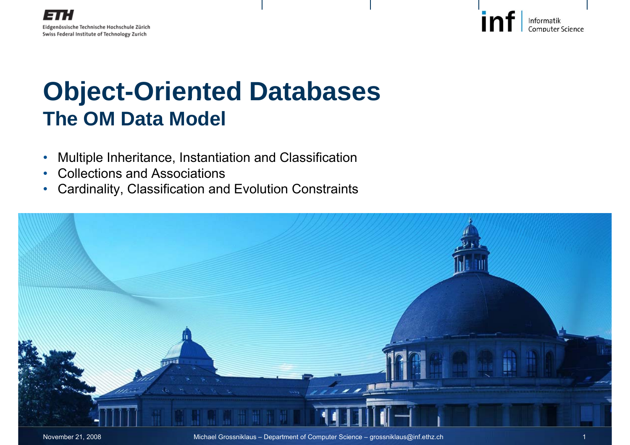



# **Object-Oriented Databases The OM Data Model**

- $\bullet$ Multiple Inheritance, Instantiation and Classification
- •Collections and Associations
- •Cardinality, Classification and Evolution Constraints

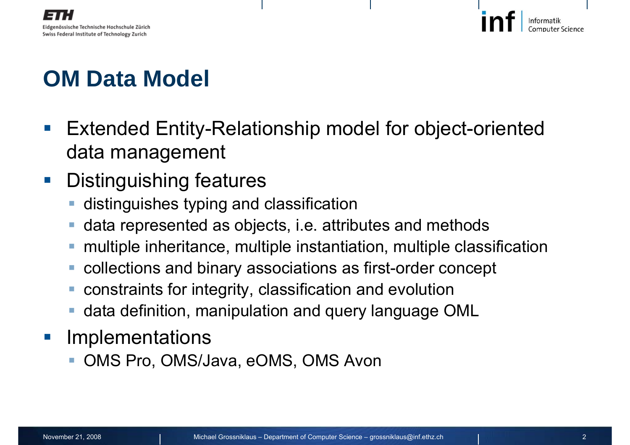



# **OM Data Model**

- $\mathcal{L}_{\mathcal{A}}$  Extended Entity-Relationship model for object-oriented data management
- $\frac{1}{2}$  Distinguishing features
	- T. distinguishes typing and classification
	- Ξ data represented as objects, i.e. attributes and methods
	- multiple inheritance, multiple instantiation, multiple classification
	- $\overline{\phantom{a}}$ collections and binary associations as first-order concept
	- Ξ constraints for integrity, classification and evolution
	- T. data definition, manipulation and query language OML
- $\mathcal{L}_{\mathcal{A}}$  Implementations
	- $\overline{\mathbb{R}}$ OMS Pro, OMS/Java, eOMS, OMS Avon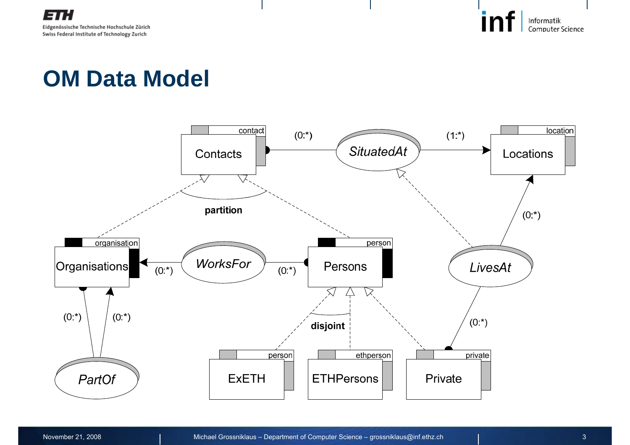



# **OM Data Model**

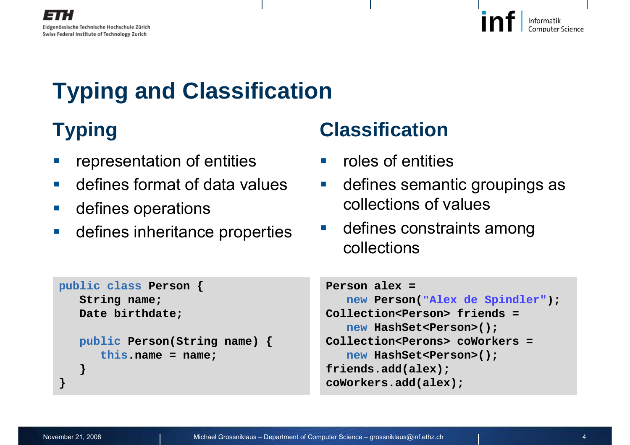



- e<br>P representation of entities
- $\sim$ defines format of data values
- $\mathcal{C}^{\mathcal{A}}$ defines operations
- $\mathcal{C}^{\mathcal{A}}$ defines inheritance properties

## **Typing Classification**

- P) roles of entities
- $\mathcal{L}_{\mathcal{A}}$  defines semantic groupings as collections of values
- $\mathcal{L}_{\mathcal{A}}$  defines constraints among collections

```
public class Person { Person alex =
  String name;
  Date birthdate;
   public
Person(Strin
g name) {
p ( g ){Collection<
     this.name = name;
   }
}
```

```
new
Person(
"Alex de Spindler");
Collection<Person> friends =
   new HashSet<Person>();
           Perons>coWorkers=new HashSet<Person>();
friends.add(alex);
coWorkers.add(alex);
```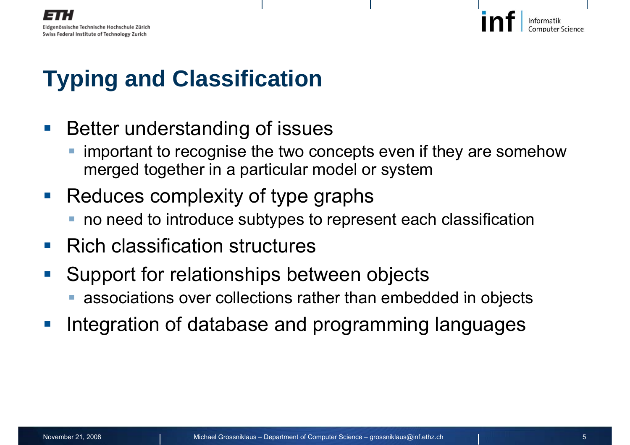



- $\mathcal{L}_{\mathcal{A}}$  Better understanding of issues
	- T. • important to recognise the two concepts even if they are somehow merged together in a particular model or system
- $\mathcal{L}_{\mathcal{A}}$  Reduces complexity of type graphs
	- Ξ no need to introduce subtypes to represent each classification
- $\mathcal{L}^{\mathcal{L}}$  Rich classification structures
- $\frac{1}{2}$  Support for relationships between objects
	- T. associations over collections rather than embedded in objects
- $\mathcal{L}_{\mathcal{A}}$ Integration of database and programming languages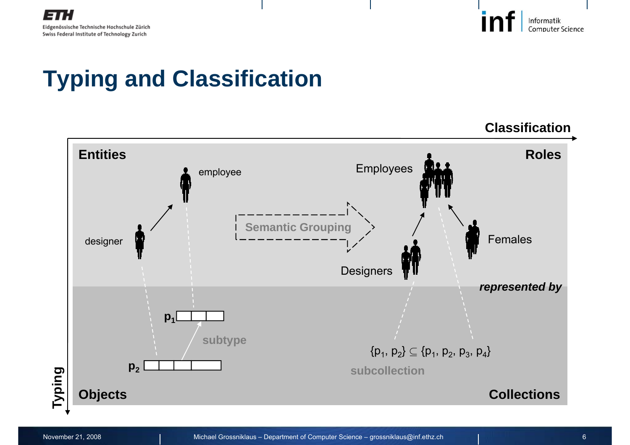

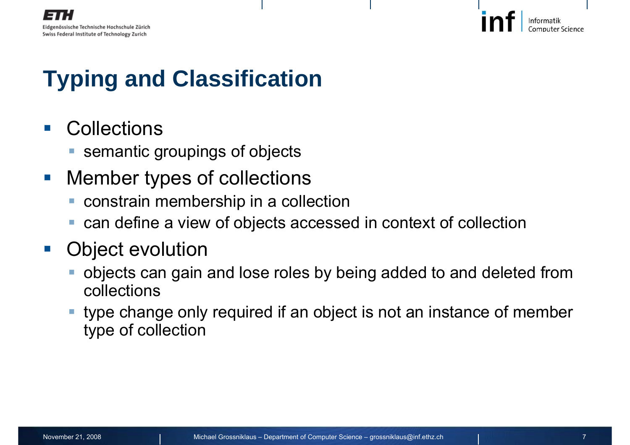



- $\mathbb{R}^3$ **Collections** 
	- semantic groupings of objects
- $\mathcal{L}_{\mathcal{A}}$  Member types of collections
	- T.  $\blacksquare$  constrain membership in a collection
	- can define a view of objects accessed in context of collection
- $\mathcal{L}_{\mathcal{A}}$ **Object evolution** 
	- T. objects can gain and lose roles by being added to and deleted from collections
	- type change only required if an object is not an instance of member type of collection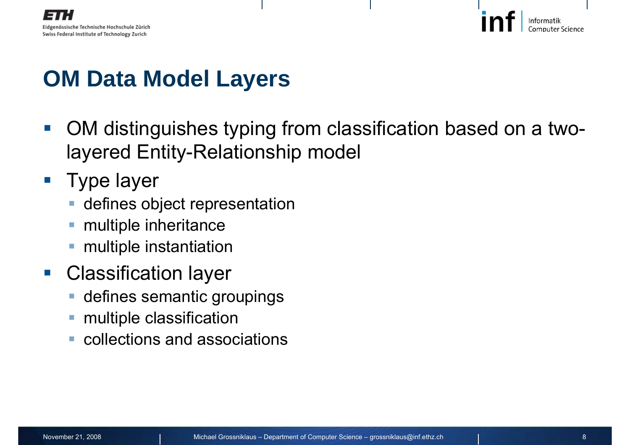



# **OM Data Model Layers**

- $\frac{1}{2}$  OM distinguishes typing from classification based on a twolayered Entity-Relationship model
- **Type layer** 
	- $\Box$ **EX defines object representation**
	- $\mathcal{L}_{\mathcal{A}}$ multiple inheritance
	- $\Box$ multiple instantiation
- **Classification layer** 
	- $\overline{\phantom{a}}$ defines semantic groupings
	- $\overline{\phantom{a}}$ multiple classification
	- $\mathbb{R}^2$ collections and associations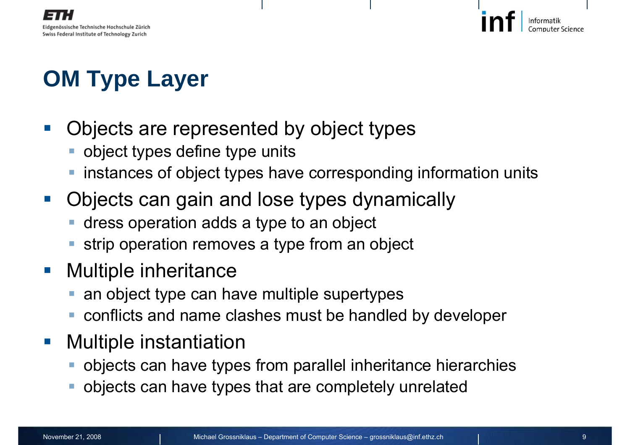



# **OM Type Layer**

- $\mathcal{L}_{\mathcal{A}}$  Objects are represented by object types
	- object types define type units
	- Ξ instances of object types have corresponding information units
- Objects can gain and lose types dynamically
	- dress operation adds a type to an object
	- Ξ strip operation removes <sup>a</sup> type from an object
- **Multiple inheritance** 
	- an object type can have multiple supertypes
	- conflicts and name clashes must be handled by developer
- $\mathbb{R}^n$  Multiple instantiation
	- objects can have types from parallel inheritance hierarchies
	- objects can have types that are completely unrelated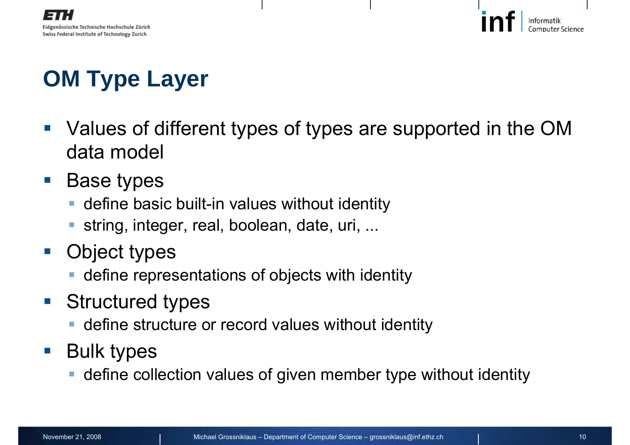



# **OM Type Layer**

- Values of different types of types are supported in the OM data model
- $\frac{1}{2}$  Base types
	- **-** define basic built-in values without identity
	- **string, integer, real, boolean, date, uri, ...**
- $\mathcal{L}^{\text{eff}}$ Object types
	- **define representations of objects with identity**
- $\mathcal{L}_{\mathcal{A}}$ **Structured types** 
	- T. define structure or record values without identity
- $\mathcal{L}^{\mathcal{L}}$ **Bulk types** 
	- define collection values of given member type without identity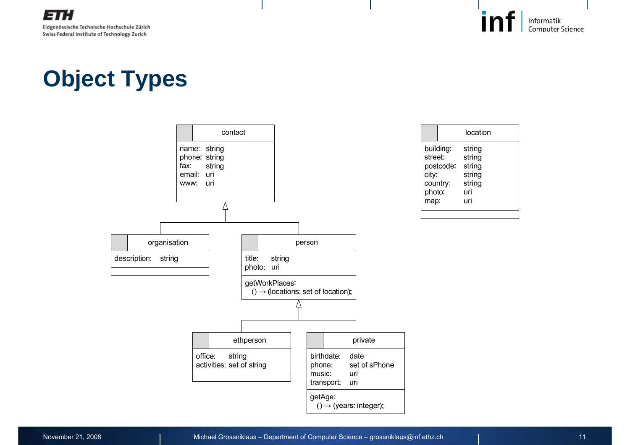



# **Object Types**

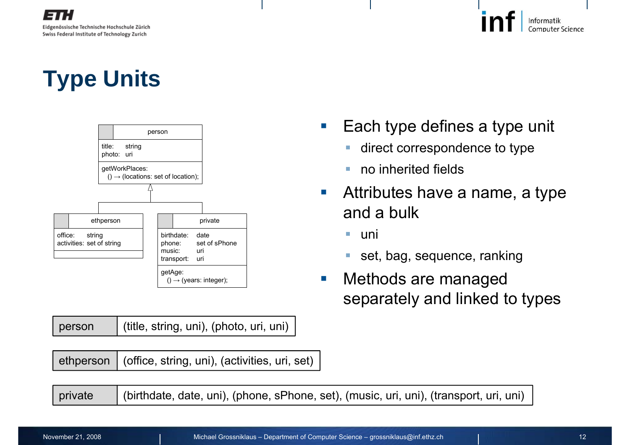# Informatik

# **Type Units**



| person | ∥ (title, string, uni), (photo, uri, uni) |
|--------|-------------------------------------------|
|--------|-------------------------------------------|

ethperson (office, string, uni), (activities, uri, set)

- $\mathcal{L}_{\mathcal{A}}$ Each type defines a type unit
- $\mathcal{C}$  $\blacksquare$  string string string string string string string string string string string string string string string string string string string string string string string string string string string string string string stri
	- $\mathcal{L}_{\mathcal{A}}$ no inherited fields
	- $\overline{\phantom{a}}$ **EXTE:** Attributes have a name, a type and a bulk
		- $\mathcal{C}$ uni
		- set, bag, sequence, ranking
	- $\mathbb{R}^n$  Methods are managed separately and linked to types

private J (birthdate, date, uni), (phone, sPhone, set), (music, uri, uni), (transport, uri, uni)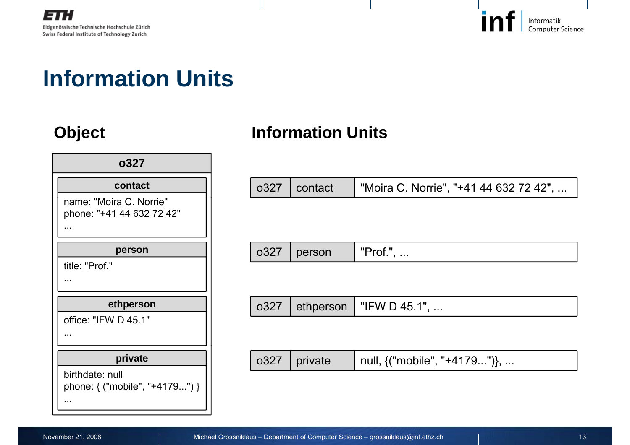

# **Information Units**

| 0327                                                 |      |
|------------------------------------------------------|------|
| contact                                              | 0327 |
| name: "Moira C. Norrie"<br>phone: "+41 44 632 72 42" |      |
|                                                      |      |
| person                                               | 0327 |
| title: "Prof."                                       |      |
|                                                      |      |
| ethperson                                            | 0327 |
| office: "IFW D 45.1"                                 |      |
|                                                      |      |
| private                                              | 0327 |
| birthdate: null<br>phone: { ("mobile", "+4179") }    |      |
|                                                      |      |

### **Object Information Units**

| 0327 | contact   | "Moira C. Norrie", "+41 44 632 72 42", |
|------|-----------|----------------------------------------|
|      |           |                                        |
|      |           |                                        |
| 0327 | person    | "Prof.",                               |
|      |           |                                        |
|      |           |                                        |
|      |           |                                        |
| 0327 | ethperson | "IFW D 45.1",                          |
|      |           |                                        |
|      |           |                                        |
| 0327 | private   | null, {("mobile", "+4179")},           |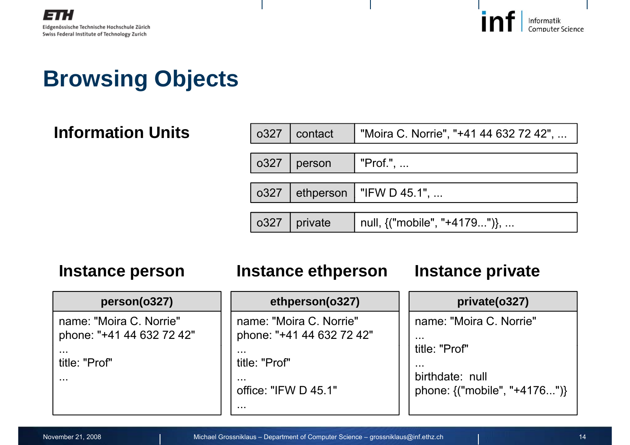

# **Browsing Objects**

### **Information Units**

| S | 0327 | contact        | "Moira C. Norrie", "+41 44 632 72 42", |
|---|------|----------------|----------------------------------------|
|   |      | o327 person    | ∥ "Prof.",                             |
|   |      |                |                                        |
|   |      |                | o327   ethperson   "IFW D 45.1",       |
|   |      | o327   private | null, {("mobile", "+4179")},           |

### **Instance person Instance ethperson Instance private**

### **person(o327)**

name: "Moira C. Norrie"phone: "+41 44 632 72 42" ...title: "Prof" ...

## **ethperson(o327)**

name: "Moira C. Norrie"phone: "+41 44 632 72 42" ...title: "Prof" ...office: "IFW D 45.1"

**private(o327)** name: "Moira C. Norrie"...title: "Prof"<br>...  $\mathbf{r}$ birthdate: nullphone: {("mobile", "+4176...")} <sup>p</sup> {( ,)}...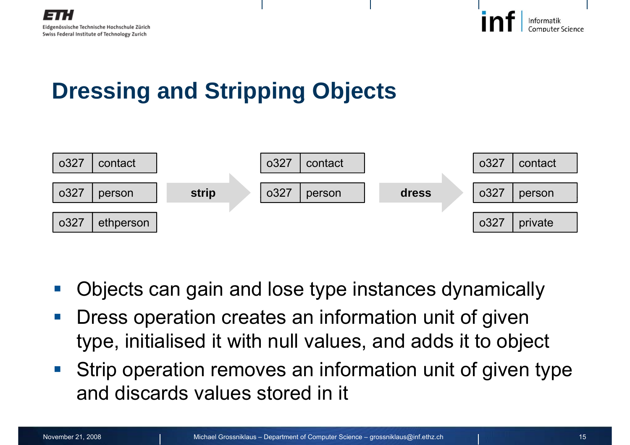

# **Dressing and Stripping Objects**



- $\mathcal{L}_{\mathcal{A}}$ • Objects can gain and lose type instances dynamically
- $\left\vert \psi \right\rangle$  Dress operation creates an information unit of given type, initialised it with null values, and adds it to object
- $\Box$  Strip operation removes an information unit of given type and discards values stored in it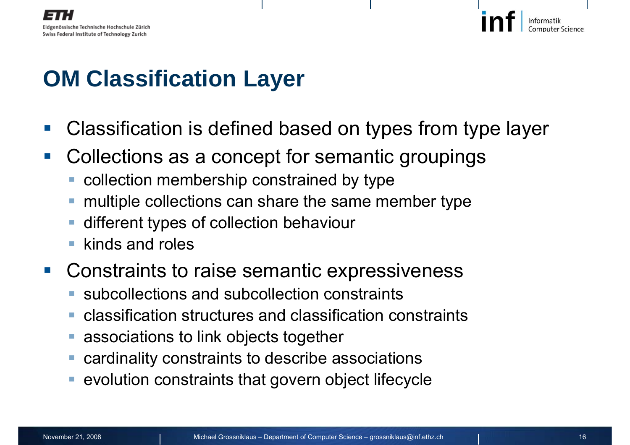



# **OM Classification Layer**

- $\mathcal{L}^{\text{max}}$ Classification is defined based on types from type layer
- $\mathcal{L}_{\mathcal{A}}$  Collections as a concept for semantic groupings
	- $\overline{\phantom{a}}$ collection membership constrained by type
	- T. • multiple collections can share the same member type
	- $\overline{\phantom{a}}$ different types of collection behaviour
	- $\mathcal{L}_{\mathcal{A}}$  $\blacksquare$  kinds and roles
- **Constraints to raise semantic expressiveness** 
	- **subcollections and subcollection constraints**
	- $\mathcal{L}_{\mathcal{A}}$ classification structures and classification constraints
	- associations to link objects together
	- Ŧ cardinality constraints to describe associations
	- $\overline{\mathbb{R}}$ evolution constraints that govern object lifecycle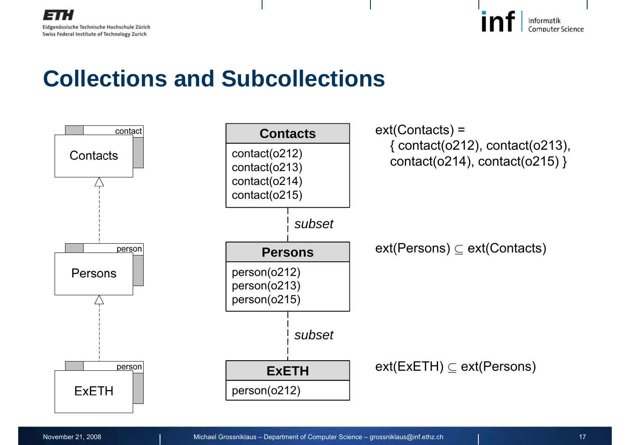

## **Collections and Subcollections**

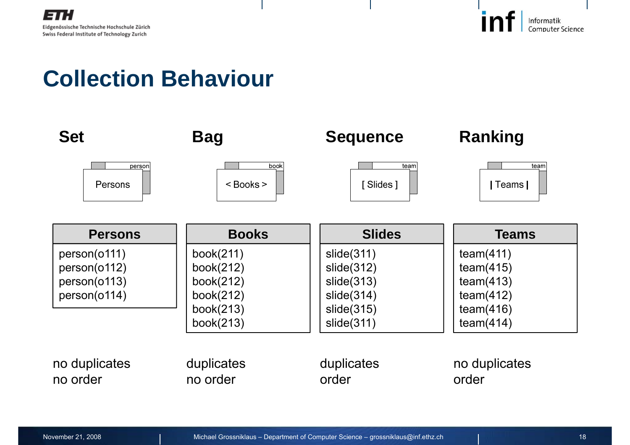

# **Collection Behaviour**

| <b>Set</b>                                                   | <b>Bag</b>                                                                 | <b>Sequence</b>                                                                  | Ranking                                                                          |
|--------------------------------------------------------------|----------------------------------------------------------------------------|----------------------------------------------------------------------------------|----------------------------------------------------------------------------------|
| person<br>Persons                                            | book<br>$<$ Books $>$                                                      | team<br>[Slides]                                                                 | team<br>  Teams                                                                  |
| <b>Persons</b>                                               | <b>Books</b>                                                               | <b>Slides</b>                                                                    | <b>Teams</b>                                                                     |
| person(o111)<br>person(o112)<br>person(o113)<br>person(o114) | book(211)<br>book(212)<br>book(212)<br>book(212)<br>book(213)<br>book(213) | slide(311)<br>slide(312)<br>slide(313)<br>slide(314)<br>slide(315)<br>slide(311) | team $(411)$<br>team(415)<br>team(413)<br>team $(412)$<br>team(416)<br>team(414) |
| no duplicates<br>no order                                    | duplicates<br>no order                                                     | duplicates<br>order                                                              | no duplicates<br>order                                                           |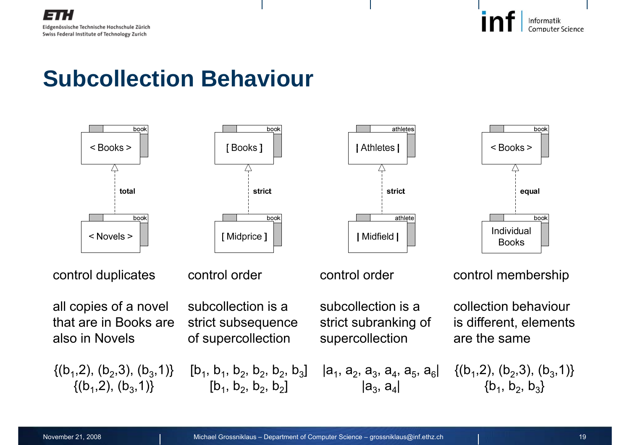

## **Subcollection Behaviour**

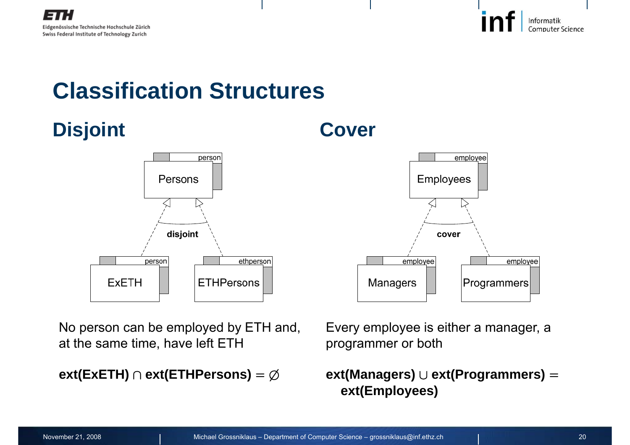



# **Classification Structures**

## **Disjoint Cover**





No person can be employed by ETH and, at the same time, have left ETH have been been both

```
ext(ExETH) 
∩ ext(ETHPersons) = ∅
```
Every employee is either a manager, a programmer or both

**ext(Managers)**  ∪ **ext(Programmers)**  = **ext(Employees)**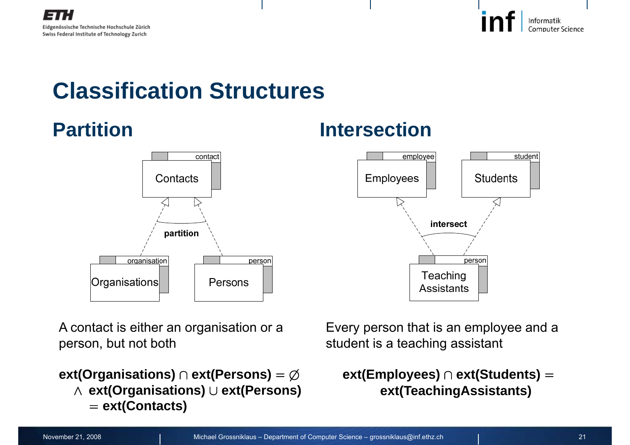



# **Classification Structures**



### **Partition Intersection**



A contact is either an organisation or a person, but not both person, but not both  $\qquad \qquad$  student is a teaching assistant

```
ext(Organisations) 
∩ ext(Persons) = ∅
  \land\, ext(Organisations) \cup ext(Persons)
     = ext(Contacts)
```
Every person that is an employee and a

**ext(Employees)**  ∩ **ext(Students)**  = **ext(TeachingAssistants )**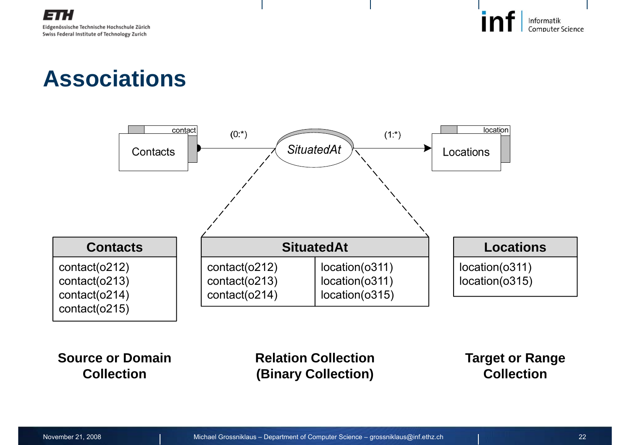



# **Associations**



**Source or Domain Collection**

**Relation Collection (Binary Collection)**

**Target or Range Collection**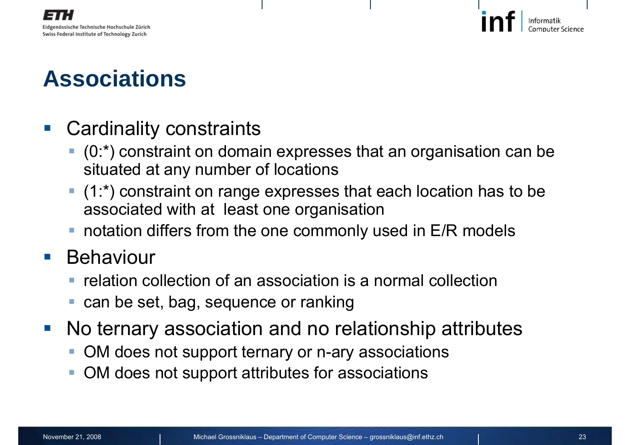



# **Associations**

- $\mathcal{L}_{\mathcal{A}}$  Cardinality constraints
	- $(0, 0)$  constraint on domain expresses that an organisation can be situated at any number of locations
	- $(1.*)$  constraint on range expresses that each location has to be associated with at least one organisation
	- T. notation differs from the one commonly used in E/R models

#### $\mathcal{L}^{\text{max}}$ Behaviour

- **relation collection of an association is a normal collection**
- T. can be set, bag, sequence or ranking
- $\mathcal{L}_{\mathcal{A}}$  No ternary association and no relationship attributes
	- $\Box$ OM does not support ternary or n-ary associations
	- $\overline{\phantom{a}}$ OM does not support attributes for associations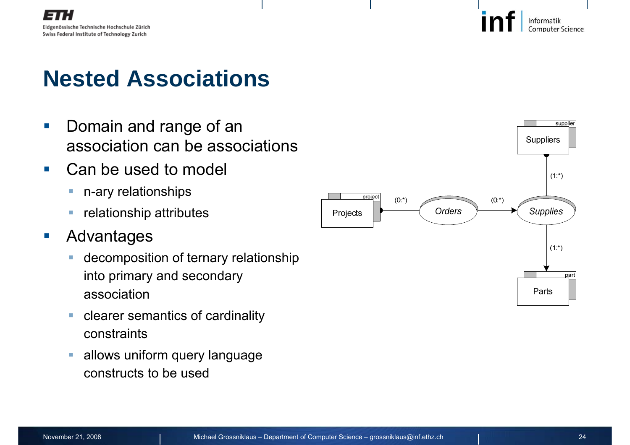

Informatik

# **Nested Associations**

- $\mathcal{L}_{\mathcal{A}}$  Domain and range of an association can be associations
- $\mathcal{L}^{\text{max}}$  Can be used to model
	- $\overline{\phantom{a}}$ **n**-ary relationships
	- $\blacksquare$ relationship attributes

#### $\mathcal{L}_{\mathcal{A}}$ Advantages

- $\mathcal{L}_{\mathcal{A}}$  decomposition of ternary relationship into primary and secondary association
- $\mathcal{L}_{\mathcal{A}}$  clearer semantics of cardinality constraints
- $\mathcal{C}$  allows uniform query language constructs to be used

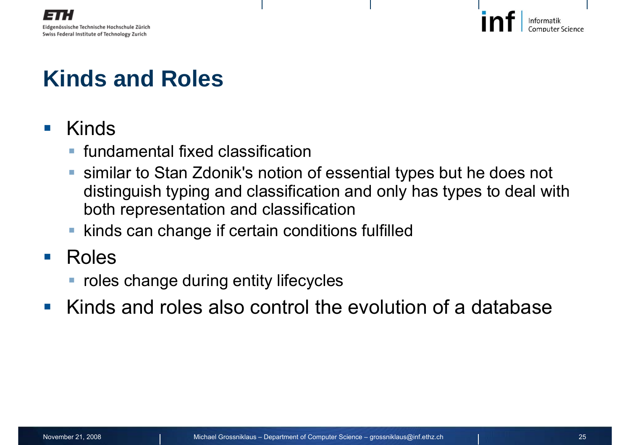



# **Kinds and Roles**

#### $\mathcal{L}^{\text{max}}$ Kinds

- $\blacksquare$  fundamental fixed classification
- Ξ similar to Stan Zdonik's notion of essential types but he does not distinguish typing and classification and only has types to deal with both representation and classification
- T. kinds can change if certain conditions fulfilled

#### $\mathcal{L}^{\text{max}}$ Roles

- **roles change during entity lifecycles**
- $\mathcal{L}^{\text{max}}$ Kinds and roles also control the evolution of a database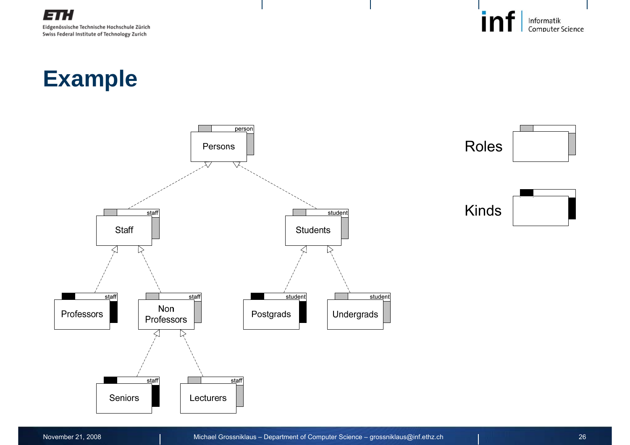# **Example**





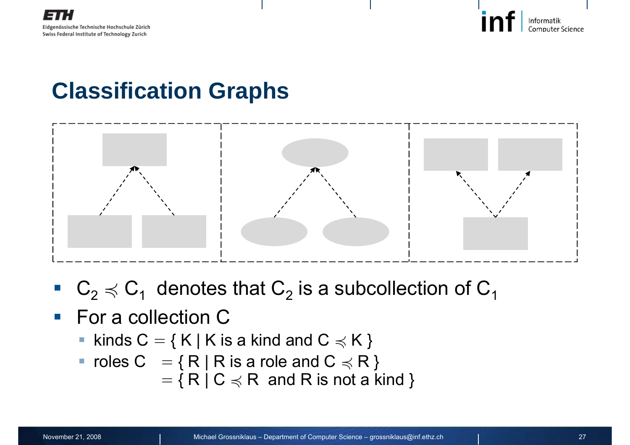

# **Classification Graphs**



- $\mathsf{C}_2 \preccurlyeq \mathsf{C}_1$  denotes that  $\mathsf{C}_2$  is a subcollection of  $\mathsf{C}_1$
- For a collection C
	- $\blacksquare$ ■ kinds C  $= \{ K \mid K \text{ is a kind and } C \preccurlyeq K \}$

\n- roles C = { R | R is a role and C 
$$
\preccurlyeq
$$
 R } = { R | C ≤ R and R is not a kind }
\n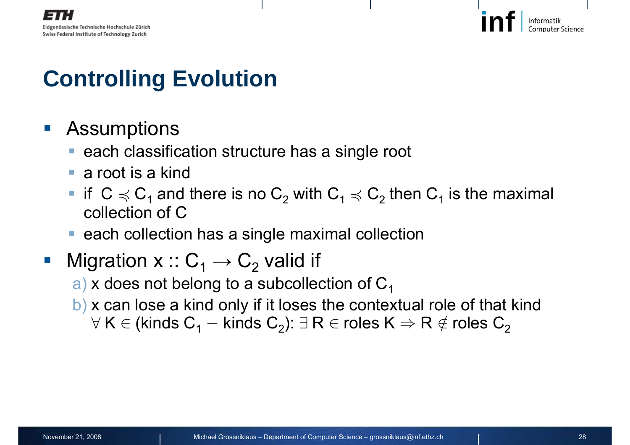



# **Controlling Evolution**

- $\mathcal{L}^{\text{max}}_{\text{max}}$  Assumptions
	- each classification structure has a single root
	- a root is a kind
	- if  $\texttt{C}\preccurlyeq \texttt{C}_1$  and there is no  $\texttt{C}_2$  with  $\texttt{C}_1\preccurlyeq \texttt{C}_2$  then  $\texttt{C}_1$  is the maximal collection of C
	- **E** each collection has a single maximal collection
- $\mathcal{L}_{\mathcal{A}}$ ■ Migration  $x :: C<sub>1</sub> → C<sub>2</sub>$  valid if
	- a) x does not belong to a subcollection of  $C_1$
	- b) x can lose a kind only if it loses the contextual role of that kind  $\forall$  K  $\in$  (kinds C $_{1}$   $-$  kinds C $_{2}$ ): ∃ R  $\in$  roles K  $\Rightarrow$  R  $\notin$  roles C $_{2}$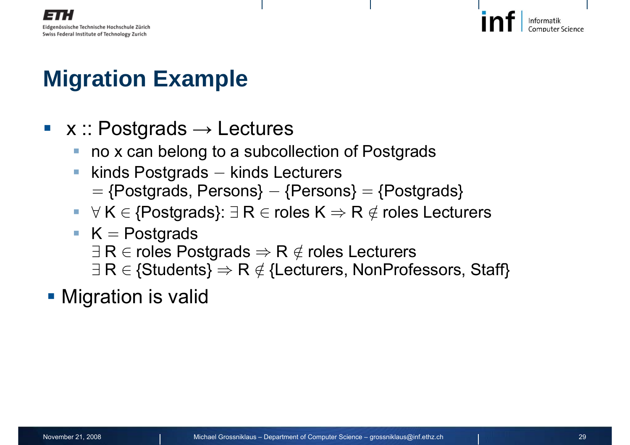



# **Migration Example**

- $\blacksquare$  x :: Postgrads  $\rightarrow$  Lectures
	- no x can belong to a subcollection of Postgrads
	- kinds Postgrads − kinds Lecturers = {Postgrads, Persons} – {Persons} = {Postgrads}
	- ∀K ∈ {Postgrads}: ∃ R ∈ roles K  $\Rightarrow$  R ∉ roles Lecturers
	- $\blacksquare$  K = Postgrads
		- $\exists$  R  $\in$  roles Postgrads  $\Rightarrow$  R  $\notin$  roles Lecturers
		- $\exists~\mathsf{R}\in\{\mathsf{Students}\}\Rightarrow \mathsf{R}\notin\{\mathsf{Lecturers},\mathsf{NonProfessors},\mathsf{Staff}\}$
- **Migration is valid**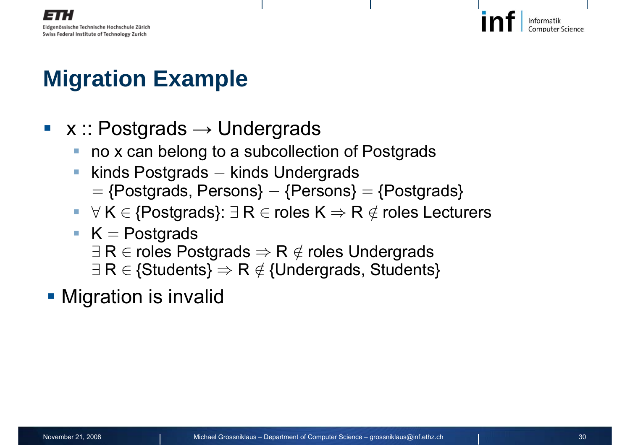



# **Migration Example**

- x :: Postgrads → Undergrads
	- F • no x can belong to a subcollection of Postgrads
	- kinds Postgrads - kinds Undergrads = {Postgrads, Persons} – {Persons} = {Postgrads}
	- ∀K ∈ {Postgrads}: ∃ R ∈ roles K  $\Rightarrow$  R ∉ roles Lecturers
	- $\blacksquare$  K = Postgrads  $\exists$  R  $\in$  roles Postgrads  $\Rightarrow$  R  $\notin$  roles Undergrads  $\exists~\mathsf{R}\in\{\mathsf{Students}\} \Rightarrow \mathsf{R}\notin\{\mathsf{Understanding},\mathsf{Students}\}$
- **Migration is invalid**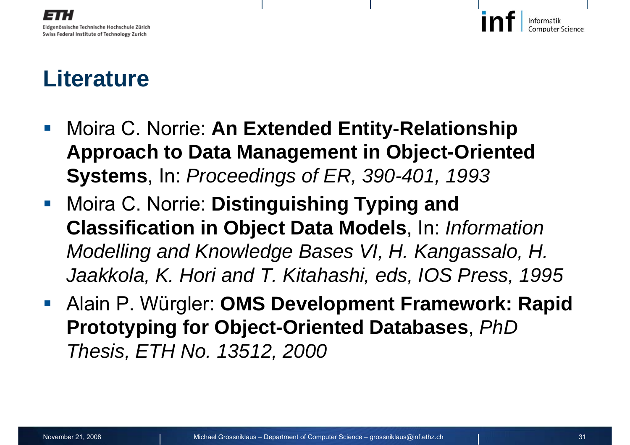



# **Literature**

- $\begin{bmatrix} 1 \\ 2 \end{bmatrix}$  Moira C. Norrie: **An Extended Entity-Relationship Approach to Data Management in Object-Oriented Systems**, In: *Proceedings of ER, 390-401, 1993*
- $\mathcal{L}_{\text{max}}$  $\blacksquare$  Moira C. Norrie: Distinguishing Typing and **Classification in Object Data Models**, In: *Information*  Modelling and Knowledge Bases VI, H. Kangassalo, H. *Jaakkola, K. Hori and T. Kitahashi, eds, IOS Press, 1995*
- **Alain P. Würgler: OMS Development Framework: Rapid Prototyping for Object-Oriented Databases**, *PhD Th i ETH N 13512 2000 Thesis, No. 13512,*